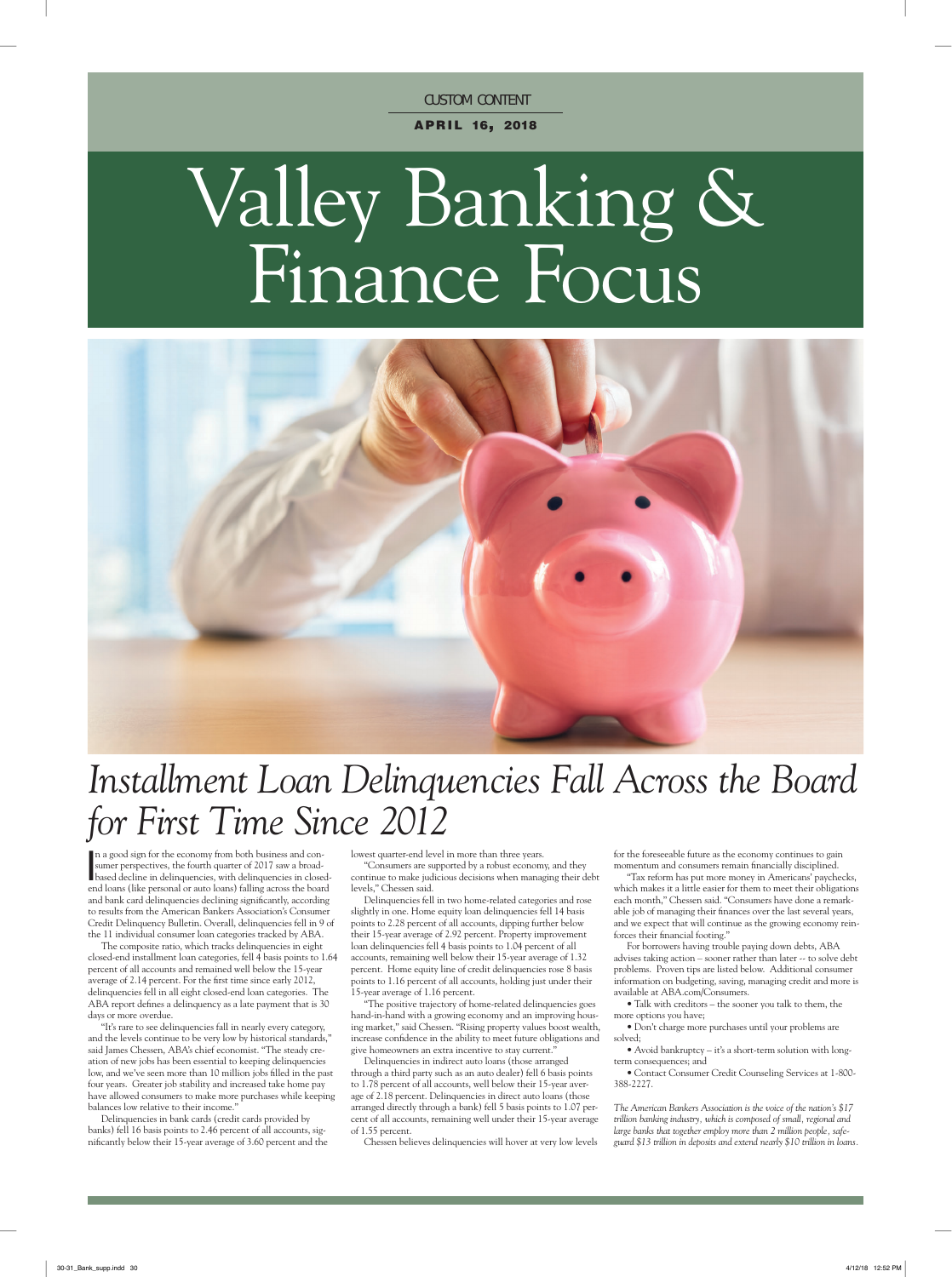**CUSTOM CONTENT** 

APRIL 16, 2018

# Valley Banking & Finance Focus



# *Installment Loan Delinquencies Fall Across the Board for First Time Since 2012*

In a good sign for the economy from both business and consumer perspectives, the fourth quarter of 2017 saw a broad-<br>based decline in delinquencies, with delinquencies in closedn a good sign for the economy from both business and consumer perspectives, the fourth quarter of 2017 saw a broadend loans (like personal or auto loans) falling across the board and bank card delinquencies declining significantly, according to results from the American Bankers Association's Consumer Credit Delinquency Bulletin. Overall, delinquencies fell in 9 of the 11 individual consumer loan categories tracked by ABA.

The composite ratio, which tracks delinquencies in eight closed-end installment loan categories, fell 4 basis points to 1.64 percent of all accounts and remained well below the 15-year average of 2.14 percent. For the first time since early 2012, delinquencies fell in all eight closed-end loan categories. The ABA report defines a delinquency as a late payment that is 30 days or more overdue.

"It's rare to see delinquencies fall in nearly every category, and the levels continue to be very low by historical standards, said James Chessen, ABA's chief economist. "The steady creation of new jobs has been essential to keeping delinquencies low, and we've seen more than 10 million jobs filled in the past four years. Greater job stability and increased take home pay have allowed consumers to make more purchases while keeping balances low relative to their income."

Delinquencies in bank cards (credit cards provided by banks) fell 16 basis points to 2.46 percent of all accounts, significantly below their 15-year average of 3.60 percent and the lowest quarter-end level in more than three years.

"Consumers are supported by a robust economy, and they continue to make judicious decisions when managing their debt levels," Chessen said.

Delinquencies fell in two home-related categories and rose slightly in one. Home equity loan delinquencies fell 14 basis points to 2.28 percent of all accounts, dipping further below their 15-year average of 2.92 percent. Property improvement loan delinquencies fell 4 basis points to 1.04 percent of all accounts, remaining well below their 15-year average of 1.32 percent. Home equity line of credit delinquencies rose 8 basis points to 1.16 percent of all accounts, holding just under their 15-year average of 1.16 percent.

"The positive trajectory of home-related delinquencies goes hand-in-hand with a growing economy and an improving housing market," said Chessen. "Rising property values boost wealth, increase confidence in the ability to meet future obligations and give homeowners an extra incentive to stay current."

Delinquencies in indirect auto loans (those arranged through a third party such as an auto dealer) fell 6 basis points to 1.78 percent of all accounts, well below their 15-year average of 2.18 percent. Delinquencies in direct auto loans (those arranged directly through a bank) fell 5 basis points to 1.07 percent of all accounts, remaining well under their 15-year average of 1.55 percent.

Chessen believes delinquencies will hover at very low levels

for the foreseeable future as the economy continues to gain momentum and consumers remain financially disciplined.

"Tax reform has put more money in Americans' paychecks, which makes it a little easier for them to meet their obligations each month," Chessen said. "Consumers have done a remarkable job of managing their finances over the last several years, and we expect that will continue as the growing economy reinforces their financial footing."

For borrowers having trouble paying down debts, ABA advises taking action – sooner rather than later -- to solve debt problems. Proven tips are listed below. Additional consumer information on budgeting, saving, managing credit and more is available at ABA.com/Consumers.

• Talk with creditors – the sooner you talk to them, the more options you have;

• Don't charge more purchases until your problems are solved;

• Avoid bankruptcy – it's a short-term solution with longterm consequences; and

• Contact Consumer Credit Counseling Services at 1-800- 388-2227.

*The American Bankers Association is the voice of the nation's \$17 trillion banking industry, which is composed of small, regional and large banks that together employ more than 2 million people, safeguard \$13 trillion in deposits and extend nearly \$10 trillion in loans.*